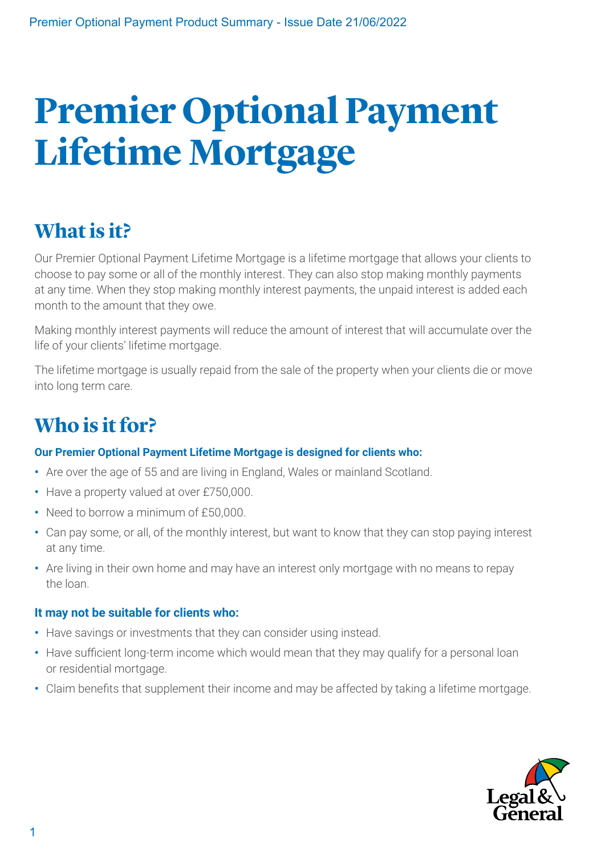# **Premier Optional Payment Lifetime Mortgage**

# **What is it?**

Our Premier Optional Payment Lifetime Mortgage is a lifetime mortgage that allows your clients to choose to pay some or all of the monthly interest. They can also stop making monthly payments at any time. When they stop making monthly interest payments, the unpaid interest is added each month to the amount that they owe.

Making monthly interest payments will reduce the amount of interest that will accumulate over the life of your clients' lifetime mortgage.

The lifetime mortgage is usually repaid from the sale of the property when your clients die or move into long term care.

## **Who is it for?**

#### **Our Premier Optional Payment Lifetime Mortgage is designed for clients who:**

- **•** Are over the age of 55 and are living in England, Wales or mainland Scotland.
- **•** Have a property valued at over £750,000.
- **•** Need to borrow a minimum of £50,000.
- **•** Can pay some, or all, of the monthly interest, but want to know that they can stop paying interest at any time.
- **•** Are living in their own home and may have an interest only mortgage with no means to repay the loan.

#### **It may not be suitable for clients who:**

- **•** Have savings or investments that they can consider using instead.
- **•** Have sufficient long-term income which would mean that they may qualify for a personal loan or residential mortgage.
- **•** Claim benefits that supplement their income and may be affected by taking a lifetime mortgage.

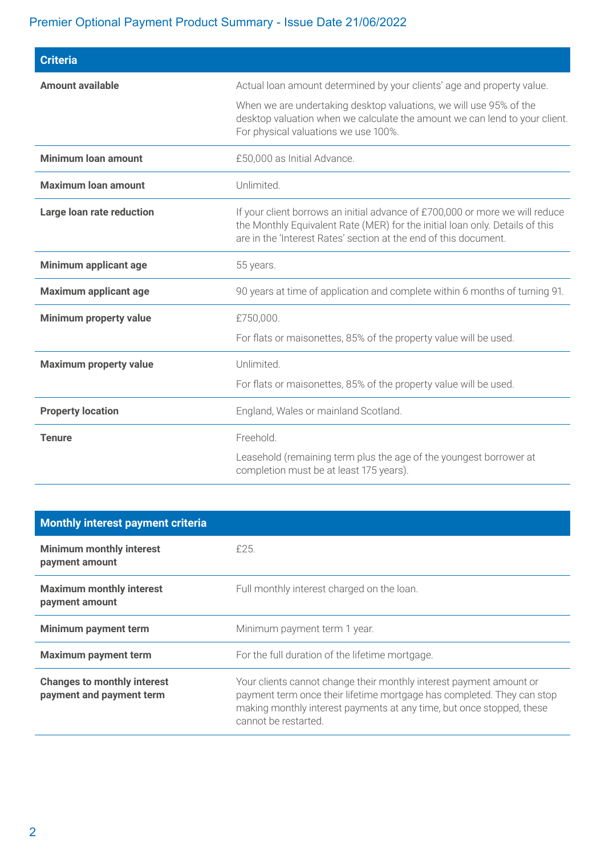#### Premier Optional Payment Product Summary - Issue Date 21/06/2022

| <b>Criteria</b>               |                                                                                                                                                                                                                                  |  |  |  |  |  |
|-------------------------------|----------------------------------------------------------------------------------------------------------------------------------------------------------------------------------------------------------------------------------|--|--|--|--|--|
| <b>Amount available</b>       | Actual loan amount determined by your clients' age and property value.                                                                                                                                                           |  |  |  |  |  |
|                               | When we are undertaking desktop valuations, we will use 95% of the<br>desktop valuation when we calculate the amount we can lend to your client.<br>For physical valuations we use 100%.                                         |  |  |  |  |  |
| <b>Minimum loan amount</b>    | £50,000 as Initial Advance.                                                                                                                                                                                                      |  |  |  |  |  |
| <b>Maximum loan amount</b>    | Unlimited.                                                                                                                                                                                                                       |  |  |  |  |  |
| Large loan rate reduction     | If your client borrows an initial advance of £700,000 or more we will reduce<br>the Monthly Equivalent Rate (MER) for the initial loan only. Details of this<br>are in the 'Interest Rates' section at the end of this document. |  |  |  |  |  |
| Minimum applicant age         | 55 years.                                                                                                                                                                                                                        |  |  |  |  |  |
| <b>Maximum applicant age</b>  | 90 years at time of application and complete within 6 months of turning 91.                                                                                                                                                      |  |  |  |  |  |
| Minimum property value        | £750,000.                                                                                                                                                                                                                        |  |  |  |  |  |
|                               | For flats or maisonettes, 85% of the property value will be used.                                                                                                                                                                |  |  |  |  |  |
| <b>Maximum property value</b> | Unlimited.                                                                                                                                                                                                                       |  |  |  |  |  |
|                               | For flats or maisonettes, 85% of the property value will be used.                                                                                                                                                                |  |  |  |  |  |
| <b>Property location</b>      | England, Wales or mainland Scotland.                                                                                                                                                                                             |  |  |  |  |  |
| <b>Tenure</b>                 | Freehold.                                                                                                                                                                                                                        |  |  |  |  |  |
|                               | Leasehold (remaining term plus the age of the youngest borrower at<br>completion must be at least 175 years).                                                                                                                    |  |  |  |  |  |

| <b>Monthly interest payment criteria</b>                       |                                                                                                                                                                                                                                                |
|----------------------------------------------------------------|------------------------------------------------------------------------------------------------------------------------------------------------------------------------------------------------------------------------------------------------|
| <b>Minimum monthly interest</b><br>payment amount              | £25.                                                                                                                                                                                                                                           |
| <b>Maximum monthly interest</b><br>payment amount              | Full monthly interest charged on the loan.                                                                                                                                                                                                     |
| Minimum payment term                                           | Minimum payment term 1 year.                                                                                                                                                                                                                   |
| <b>Maximum payment term</b>                                    | For the full duration of the lifetime mortgage.                                                                                                                                                                                                |
| <b>Changes to monthly interest</b><br>payment and payment term | Your clients cannot change their monthly interest payment amount or<br>payment term once their lifetime mortgage has completed. They can stop<br>making monthly interest payments at any time, but once stopped, these<br>cannot be restarted. |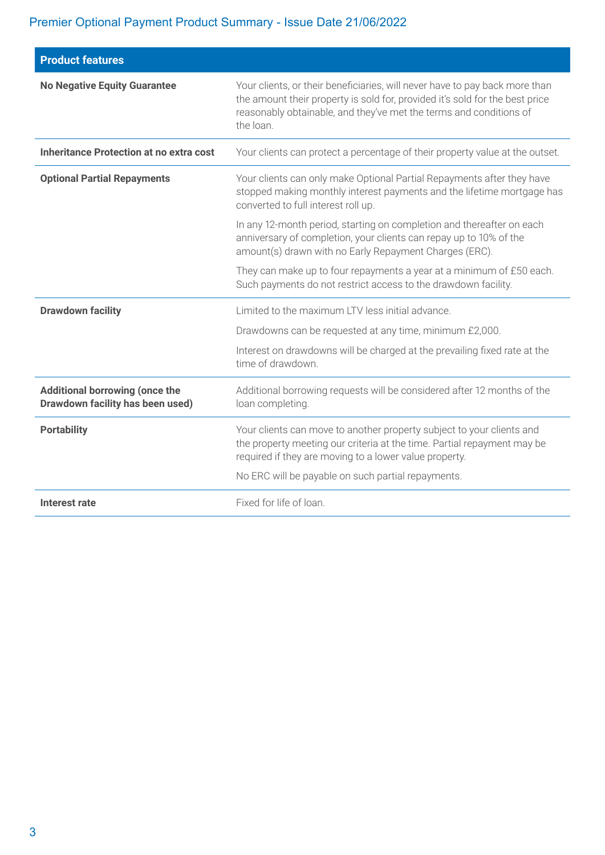#### Premier Optional Payment Product Summary - Issue Date 21/06/2022

| <b>Product features</b>                                                   |                                                                                                                                                                                                                                                |  |  |  |
|---------------------------------------------------------------------------|------------------------------------------------------------------------------------------------------------------------------------------------------------------------------------------------------------------------------------------------|--|--|--|
| <b>No Negative Equity Guarantee</b>                                       | Your clients, or their beneficiaries, will never have to pay back more than<br>the amount their property is sold for, provided it's sold for the best price<br>reasonably obtainable, and they've met the terms and conditions of<br>the loan. |  |  |  |
| <b>Inheritance Protection at no extra cost</b>                            | Your clients can protect a percentage of their property value at the outset.                                                                                                                                                                   |  |  |  |
| <b>Optional Partial Repayments</b>                                        | Your clients can only make Optional Partial Repayments after they have<br>stopped making monthly interest payments and the lifetime mortgage has<br>converted to full interest roll up.                                                        |  |  |  |
|                                                                           | In any 12-month period, starting on completion and thereafter on each<br>anniversary of completion, your clients can repay up to 10% of the<br>amount(s) drawn with no Early Repayment Charges (ERC).                                          |  |  |  |
|                                                                           | They can make up to four repayments a year at a minimum of £50 each.<br>Such payments do not restrict access to the drawdown facility.                                                                                                         |  |  |  |
| <b>Drawdown facility</b>                                                  | Limited to the maximum LTV less initial advance.                                                                                                                                                                                               |  |  |  |
|                                                                           | Drawdowns can be requested at any time, minimum £2,000.                                                                                                                                                                                        |  |  |  |
|                                                                           | Interest on drawdowns will be charged at the prevailing fixed rate at the<br>time of drawdown.                                                                                                                                                 |  |  |  |
| <b>Additional borrowing (once the</b><br>Drawdown facility has been used) | Additional borrowing requests will be considered after 12 months of the<br>loan completing.                                                                                                                                                    |  |  |  |
| <b>Portability</b>                                                        | Your clients can move to another property subject to your clients and<br>the property meeting our criteria at the time. Partial repayment may be<br>required if they are moving to a lower value property.                                     |  |  |  |
|                                                                           | No ERC will be payable on such partial repayments.                                                                                                                                                                                             |  |  |  |
| Interest rate                                                             | Fixed for life of loan.                                                                                                                                                                                                                        |  |  |  |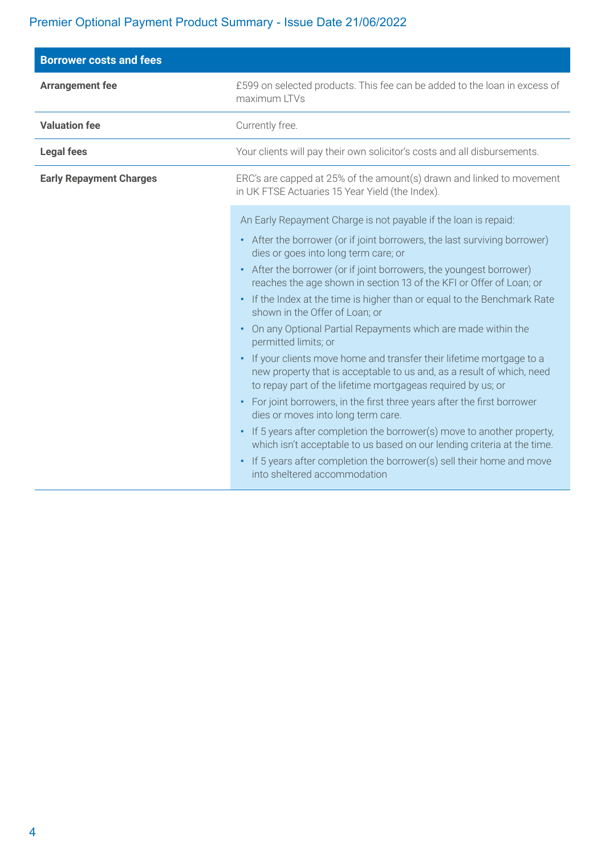#### Premier Optional Payment Product Summary - Issue Date 21/06/2022

| <b>Borrower costs and fees</b> |                                                                                                                                                                                                                                                                                                                                                                                                                                                                                                                                                                                                                                                                                                                                                                                                                                                                                                                                                                                                                                                                                                                                                                 |  |  |  |  |
|--------------------------------|-----------------------------------------------------------------------------------------------------------------------------------------------------------------------------------------------------------------------------------------------------------------------------------------------------------------------------------------------------------------------------------------------------------------------------------------------------------------------------------------------------------------------------------------------------------------------------------------------------------------------------------------------------------------------------------------------------------------------------------------------------------------------------------------------------------------------------------------------------------------------------------------------------------------------------------------------------------------------------------------------------------------------------------------------------------------------------------------------------------------------------------------------------------------|--|--|--|--|
| <b>Arrangement fee</b>         | £599 on selected products. This fee can be added to the loan in excess of<br>maximum LTVs                                                                                                                                                                                                                                                                                                                                                                                                                                                                                                                                                                                                                                                                                                                                                                                                                                                                                                                                                                                                                                                                       |  |  |  |  |
| <b>Valuation fee</b>           | Currently free.                                                                                                                                                                                                                                                                                                                                                                                                                                                                                                                                                                                                                                                                                                                                                                                                                                                                                                                                                                                                                                                                                                                                                 |  |  |  |  |
| <b>Legal fees</b>              | Your clients will pay their own solicitor's costs and all disbursements.                                                                                                                                                                                                                                                                                                                                                                                                                                                                                                                                                                                                                                                                                                                                                                                                                                                                                                                                                                                                                                                                                        |  |  |  |  |
| <b>Early Repayment Charges</b> | ERC's are capped at 25% of the amount(s) drawn and linked to movement<br>in UK FTSE Actuaries 15 Year Yield (the Index).                                                                                                                                                                                                                                                                                                                                                                                                                                                                                                                                                                                                                                                                                                                                                                                                                                                                                                                                                                                                                                        |  |  |  |  |
|                                | An Early Repayment Charge is not payable if the loan is repaid:<br>• After the borrower (or if joint borrowers, the last surviving borrower)<br>dies or goes into long term care; or<br>• After the borrower (or if joint borrowers, the youngest borrower)<br>reaches the age shown in section 13 of the KFI or Offer of Loan; or<br>• If the Index at the time is higher than or equal to the Benchmark Rate<br>shown in the Offer of Loan; or<br>On any Optional Partial Repayments which are made within the<br>permitted limits; or<br>If your clients move home and transfer their lifetime mortgage to a<br>new property that is acceptable to us and, as a result of which, need<br>to repay part of the lifetime mortgageas required by us; or<br>For joint borrowers, in the first three years after the first borrower<br>$\bullet$<br>dies or moves into long term care.<br>• If 5 years after completion the borrower(s) move to another property,<br>which isn't acceptable to us based on our lending criteria at the time.<br>If 5 years after completion the borrower(s) sell their home and move<br>$\bullet$<br>into sheltered accommodation |  |  |  |  |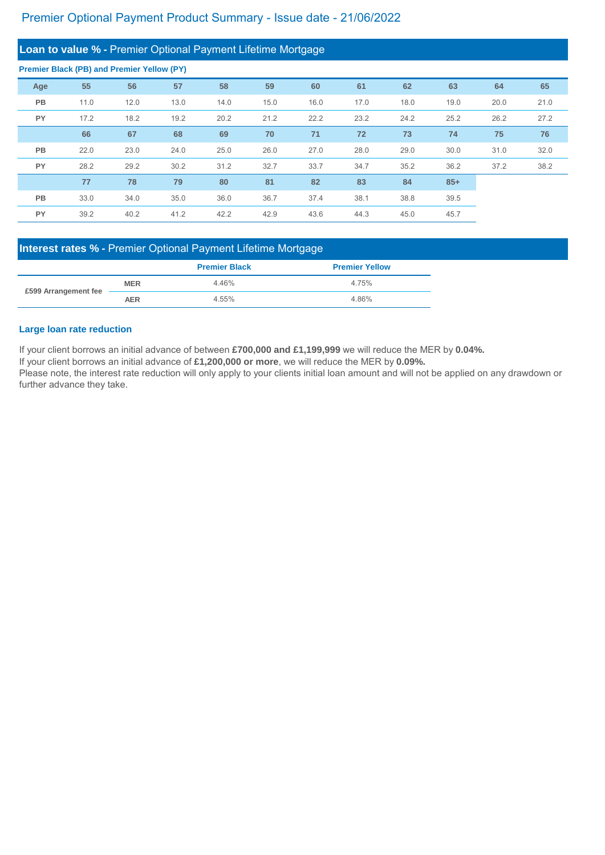| Loan to value % - Premier Optional Payment Lifetime Mortgage |      |      |      |      |      |      |      |      |       |      |      |
|--------------------------------------------------------------|------|------|------|------|------|------|------|------|-------|------|------|
| <b>Premier Black (PB) and Premier Yellow (PY)</b>            |      |      |      |      |      |      |      |      |       |      |      |
| Age                                                          | 55   | 56   | 57   | 58   | 59   | 60   | 61   | 62   | 63    | 64   | 65   |
| <b>PB</b>                                                    | 11.0 | 12.0 | 13.0 | 14.0 | 15.0 | 16.0 | 17.0 | 18.0 | 19.0  | 20.0 | 21.0 |
| <b>PY</b>                                                    | 17.2 | 18.2 | 19.2 | 20.2 | 21.2 | 22.2 | 23.2 | 24.2 | 25.2  | 26.2 | 27.2 |
|                                                              | 66   | 67   | 68   | 69   | 70   | 71   | 72   | 73   | 74    | 75   | 76   |
| <b>PB</b>                                                    | 22.0 | 23.0 | 24.0 | 25.0 | 26.0 | 27.0 | 28.0 | 29.0 | 30.0  | 31.0 | 32.0 |
| <b>PY</b>                                                    | 28.2 | 29.2 | 30.2 | 31.2 | 32.7 | 33.7 | 34.7 | 35.2 | 36.2  | 37.2 | 38.2 |
|                                                              | 77   | 78   | 79   | 80   | 81   | 82   | 83   | 84   | $85+$ |      |      |
| <b>PB</b>                                                    | 33.0 | 34.0 | 35.0 | 36.0 | 36.7 | 37.4 | 38.1 | 38.8 | 39.5  |      |      |
| <b>PY</b>                                                    | 39.2 | 40.2 | 41.2 | 42.2 | 42.9 | 43.6 | 44.3 | 45.0 | 45.7  |      |      |

If your client borrows an initial advance of between **£700,000 and £1,199,999** we will reduce the MER by **0.04%.**

If your client borrows an initial advance of **£1,200,000 or more**, we will reduce the MER by **0.09%.**

#### **Large loan rate reduction**

|                      |            | <b>Premier Black</b> | <b>Premier Yellow</b> |
|----------------------|------------|----------------------|-----------------------|
| £599 Arrangement fee | <b>MER</b> | 4.46%                | 4.75%                 |
|                      | <b>AER</b> | 4.55%                | 4.86%                 |

Please note, the interest rate reduction will only apply to your clients initial loan amount and will not be applied on any drawdown or further advance they take.

## **Interest rates % -** Premier Optional Payment Lifetime Mortgage

### Premier Optional Payment Product Summary - Issue date - 21/06/2022